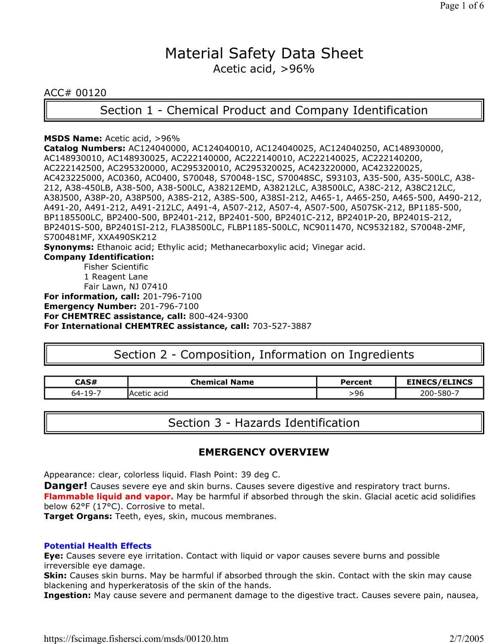# Material Safety Data Sheet Acetic acid, >96%

ACC# 00120

Section 1 - Chemical Product and Company Identification

#### **MSDS Name:** Acetic acid, >96%

**Catalog Numbers:** AC124040000, AC124040010, AC124040025, AC124040250, AC148930000, AC148930010, AC148930025, AC222140000, AC222140010, AC222140025, AC222140200, AC222142500, AC295320000, AC295320010, AC295320025, AC423220000, AC423220025, AC423225000, AC0360, AC0400, S70048, S70048-1SC, S70048SC, S93103, A35-500, A35-500LC, A38- 212, A38-450LB, A38-500, A38-500LC, A38212EMD, A38212LC, A38500LC, A38C-212, A38C212LC, A38J500, A38P-20, A38P500, A38S-212, A38S-500, A38SI-212, A465-1, A465-250, A465-500, A490-212, A491-20, A491-212, A491-212LC, A491-4, A507-212, A507-4, A507-500, A507SK-212, BP1185-500, BP1185500LC, BP2400-500, BP2401-212, BP2401-500, BP2401C-212, BP2401P-20, BP2401S-212, BP2401S-500, BP2401SI-212, FLA38500LC, FLBP1185-500LC, NC9011470, NC9532182, S70048-2MF, S700481MF, XXA490SK212 **Synonyms:** Ethanoic acid; Ethylic acid; Methanecarboxylic acid; Vinegar acid. **Company Identification:** Fisher Scientific 1 Reagent Lane Fair Lawn, NJ 07410 **For information, call:** 201-796-7100 **Emergency Number:** 201-796-7100 **For CHEMTREC assistance, call:** 800-424-9300

**For International CHEMTREC assistance, call:** 703-527-3887

# Section 2 - Composition, Information on Ingredients

| CAS#                   | <b>Chemical Name</b> | Percent | /ELINCS       |
|------------------------|----------------------|---------|---------------|
| $.19-$<br>$64-1$<br>-- | acid<br>rn+<br>"AL.  | .96     | ንበበ-<br>-וואכ |

Section 3 - Hazards Identification

### **EMERGENCY OVERVIEW**

Appearance: clear, colorless liquid. Flash Point: 39 deg C.

**Danger!** Causes severe eye and skin burns. Causes severe digestive and respiratory tract burns.

**Flammable liquid and vapor.** May be harmful if absorbed through the skin. Glacial acetic acid solidifies below 62°F (17°C). Corrosive to metal.

**Target Organs:** Teeth, eyes, skin, mucous membranes.

### **Potential Health Effects**

**Eye:** Causes severe eye irritation. Contact with liquid or vapor causes severe burns and possible irreversible eye damage.

**Skin:** Causes skin burns. May be harmful if absorbed through the skin. Contact with the skin may cause blackening and hyperkeratosis of the skin of the hands.

**Ingestion:** May cause severe and permanent damage to the digestive tract. Causes severe pain, nausea,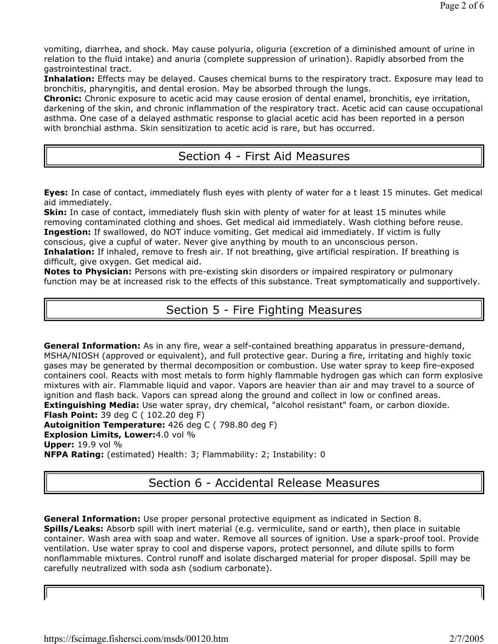vomiting, diarrhea, and shock. May cause polyuria, oliguria (excretion of a diminished amount of urine in relation to the fluid intake) and anuria (complete suppression of urination). Rapidly absorbed from the gastrointestinal tract.

**Inhalation:** Effects may be delayed. Causes chemical burns to the respiratory tract. Exposure may lead to bronchitis, pharyngitis, and dental erosion. May be absorbed through the lungs.

**Chronic:** Chronic exposure to acetic acid may cause erosion of dental enamel, bronchitis, eye irritation, darkening of the skin, and chronic inflammation of the respiratory tract. Acetic acid can cause occupational asthma. One case of a delayed asthmatic response to glacial acetic acid has been reported in a person with bronchial asthma. Skin sensitization to acetic acid is rare, but has occurred.

## Section 4 - First Aid Measures

**Eyes:** In case of contact, immediately flush eyes with plenty of water for a t least 15 minutes. Get medical aid immediately.

**Skin:** In case of contact, immediately flush skin with plenty of water for at least 15 minutes while removing contaminated clothing and shoes. Get medical aid immediately. Wash clothing before reuse. **Ingestion:** If swallowed, do NOT induce vomiting. Get medical aid immediately. If victim is fully conscious, give a cupful of water. Never give anything by mouth to an unconscious person.

**Inhalation:** If inhaled, remove to fresh air. If not breathing, give artificial respiration. If breathing is difficult, give oxygen. Get medical aid.

**Notes to Physician:** Persons with pre-existing skin disorders or impaired respiratory or pulmonary function may be at increased risk to the effects of this substance. Treat symptomatically and supportively.

# Section 5 - Fire Fighting Measures

**General Information:** As in any fire, wear a self-contained breathing apparatus in pressure-demand, MSHA/NIOSH (approved or equivalent), and full protective gear. During a fire, irritating and highly toxic gases may be generated by thermal decomposition or combustion. Use water spray to keep fire-exposed containers cool. Reacts with most metals to form highly flammable hydrogen gas which can form explosive mixtures with air. Flammable liquid and vapor. Vapors are heavier than air and may travel to a source of ignition and flash back. Vapors can spread along the ground and collect in low or confined areas. **Extinguishing Media:** Use water spray, dry chemical, "alcohol resistant" foam, or carbon dioxide.

**Flash Point:** 39 deg C ( 102.20 deg F)

**Autoignition Temperature:** 426 deg C ( 798.80 deg F) **Explosion Limits, Lower:**4.0 vol % **Upper:** 19.9 vol %

**NFPA Rating:** (estimated) Health: 3; Flammability: 2; Instability: 0

# Section 6 - Accidental Release Measures

**General Information:** Use proper personal protective equipment as indicated in Section 8. **Spills/Leaks:** Absorb spill with inert material (e.g. vermiculite, sand or earth), then place in suitable container. Wash area with soap and water. Remove all sources of ignition. Use a spark-proof tool. Provide ventilation. Use water spray to cool and disperse vapors, protect personnel, and dilute spills to form nonflammable mixtures. Control runoff and isolate discharged material for proper disposal. Spill may be carefully neutralized with soda ash (sodium carbonate).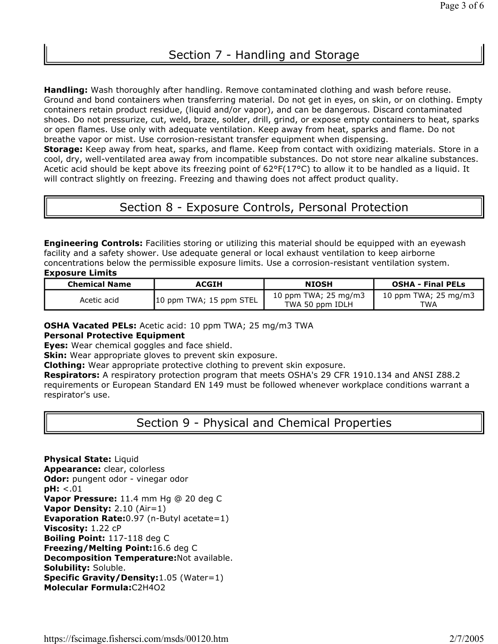**Handling:** Wash thoroughly after handling. Remove contaminated clothing and wash before reuse. Ground and bond containers when transferring material. Do not get in eyes, on skin, or on clothing. Empty containers retain product residue, (liquid and/or vapor), and can be dangerous. Discard contaminated shoes. Do not pressurize, cut, weld, braze, solder, drill, grind, or expose empty containers to heat, sparks or open flames. Use only with adequate ventilation. Keep away from heat, sparks and flame. Do not breathe vapor or mist. Use corrosion-resistant transfer equipment when dispensing. **Storage:** Keep away from heat, sparks, and flame. Keep from contact with oxidizing materials. Store in a

cool, dry, well-ventilated area away from incompatible substances. Do not store near alkaline substances. Acetic acid should be kept above its freezing point of 62°F(17°C) to allow it to be handled as a liquid. It will contract slightly on freezing. Freezing and thawing does not affect product quality.

# Section 8 - Exposure Controls, Personal Protection

**Engineering Controls:** Facilities storing or utilizing this material should be equipped with an eyewash facility and a safety shower. Use adequate general or local exhaust ventilation to keep airborne concentrations below the permissible exposure limits. Use a corrosion-resistant ventilation system. **Exposure Limits**

| ----------------     |                         |                                                    |                             |  |
|----------------------|-------------------------|----------------------------------------------------|-----------------------------|--|
| <b>Chemical Name</b> | ACGIH                   | <b>NIOSH</b>                                       | <b>OSHA - Final PELs</b>    |  |
| Acetic acid          | 10 ppm TWA; 15 ppm STEL | 10 ppm TWA; $25 \text{ mg/m}$ 3<br>TWA 50 ppm IDLH | 10 ppm TWA; 25 mg/m3<br>TWA |  |

**OSHA Vacated PELs:** Acetic acid: 10 ppm TWA; 25 mg/m3 TWA

#### **Personal Protective Equipment**

**Eyes:** Wear chemical goggles and face shield.

**Skin:** Wear appropriate gloves to prevent skin exposure.

**Clothing:** Wear appropriate protective clothing to prevent skin exposure.

**Respirators:** A respiratory protection program that meets OSHA's 29 CFR 1910.134 and ANSI Z88.2 requirements or European Standard EN 149 must be followed whenever workplace conditions warrant a respirator's use.

# Section 9 - Physical and Chemical Properties

**Physical State:** Liquid **Appearance:** clear, colorless **Odor:** pungent odor - vinegar odor **pH:** <.01 **Vapor Pressure:** 11.4 mm Hg @ 20 deg C **Vapor Density:** 2.10 (Air=1) **Evaporation Rate:**0.97 (n-Butyl acetate=1) **Viscosity:** 1.22 cP **Boiling Point:** 117-118 deg C **Freezing/Melting Point:**16.6 deg C **Decomposition Temperature:**Not available. **Solubility:** Soluble. **Specific Gravity/Density:**1.05 (Water=1) **Molecular Formula:**C2H4O2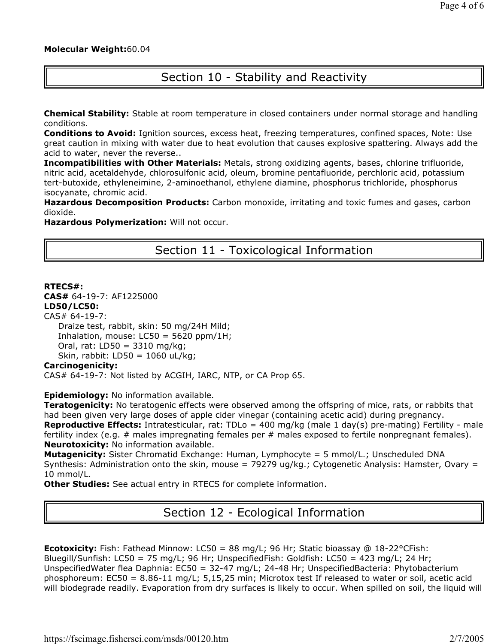#### **Molecular Weight:**60.04

# Section 10 - Stability and Reactivity

**Chemical Stability:** Stable at room temperature in closed containers under normal storage and handling conditions.

**Conditions to Avoid:** Ignition sources, excess heat, freezing temperatures, confined spaces, Note: Use great caution in mixing with water due to heat evolution that causes explosive spattering. Always add the acid to water, never the reverse..

**Incompatibilities with Other Materials:** Metals, strong oxidizing agents, bases, chlorine trifluoride, nitric acid, acetaldehyde, chlorosulfonic acid, oleum, bromine pentafluoride, perchloric acid, potassium tert-butoxide, ethyleneimine, 2-aminoethanol, ethylene diamine, phosphorus trichloride, phosphorus isocyanate, chromic acid.

**Hazardous Decomposition Products:** Carbon monoxide, irritating and toxic fumes and gases, carbon dioxide.

**Hazardous Polymerization:** Will not occur.

Section 11 - Toxicological Information

**RTECS#: CAS#** 64-19-7: AF1225000 **LD50/LC50:** CAS# 64-19-7: Draize test, rabbit, skin: 50 mg/24H Mild; Inhalation, mouse:  $LC50 = 5620$  ppm/1H; Oral, rat: LD50 = 3310 mg/kg; Skin, rabbit: LD50 = 1060 uL/kg; **Carcinogenicity:**

CAS# 64-19-7: Not listed by ACGIH, IARC, NTP, or CA Prop 65.

**Epidemiology:** No information available.

**Teratogenicity:** No teratogenic effects were observed among the offspring of mice, rats, or rabbits that had been given very large doses of apple cider vinegar (containing acetic acid) during pregnancy. **Reproductive Effects:** Intratesticular, rat: TDLo = 400 mg/kg (male 1 day(s) pre-mating) Fertility - male fertility index (e.g.  $\#$  males impregnating females per  $\#$  males exposed to fertile nonpregnant females). **Neurotoxicity:** No information available.

**Mutagenicity:** Sister Chromatid Exchange: Human, Lymphocyte = 5 mmol/L.; Unscheduled DNA Synthesis: Administration onto the skin, mouse = 79279 ug/kg.; Cytogenetic Analysis: Hamster, Ovary = 10 mmol/L.

**Other Studies:** See actual entry in RTECS for complete information.

Section 12 - Ecological Information

**Ecotoxicity:** Fish: Fathead Minnow: LC50 = 88 mg/L; 96 Hr; Static bioassay @ 18-22°CFish: Bluegill/Sunfish: LC50 = 75 mg/L; 96 Hr; UnspecifiedFish: Goldfish: LC50 = 423 mg/L; 24 Hr; UnspecifiedWater flea Daphnia: EC50 = 32-47 mg/L; 24-48 Hr; UnspecifiedBacteria: Phytobacterium phosphoreum: EC50 = 8.86-11 mg/L; 5,15,25 min; Microtox test If released to water or soil, acetic acid will biodegrade readily. Evaporation from dry surfaces is likely to occur. When spilled on soil, the liquid will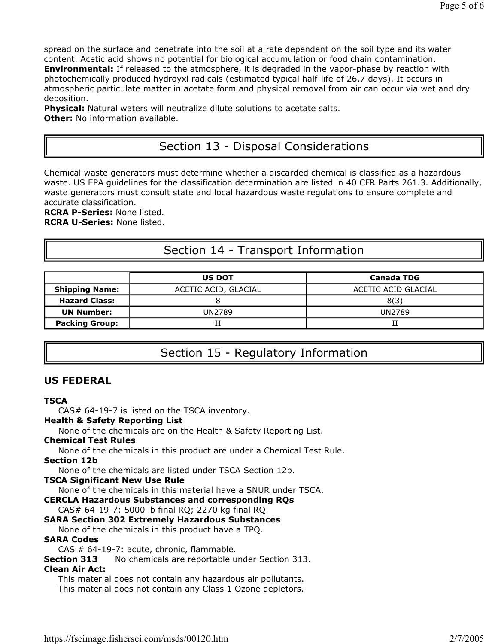spread on the surface and penetrate into the soil at a rate dependent on the soil type and its water content. Acetic acid shows no potential for biological accumulation or food chain contamination. **Environmental:** If released to the atmosphere, it is degraded in the vapor-phase by reaction with photochemically produced hydroyxl radicals (estimated typical half-life of 26.7 days). It occurs in atmospheric particulate matter in acetate form and physical removal from air can occur via wet and dry deposition.

**Physical:** Natural waters will neutralize dilute solutions to acetate salts. **Other:** No information available.

# Section 13 - Disposal Considerations

Chemical waste generators must determine whether a discarded chemical is classified as a hazardous waste. US EPA guidelines for the classification determination are listed in 40 CFR Parts 261.3. Additionally, waste generators must consult state and local hazardous waste regulations to ensure complete and accurate classification.

**RCRA P-Series:** None listed. **RCRA U-Series:** None listed.

# Section 14 - Transport Information

|                       | <b>US DOT</b>        | <b>Canada TDG</b>   |  |
|-----------------------|----------------------|---------------------|--|
| <b>Shipping Name:</b> | ACETIC ACID, GLACIAL | ACETIC ACID GLACIAL |  |
| <b>Hazard Class:</b>  |                      | 8(3)                |  |
| <b>UN Number:</b>     | UN2789               | UN2789              |  |
| <b>Packing Group:</b> |                      |                     |  |

# Section 15 - Regulatory Information

### **US FEDERAL**

**TSCA** CAS# 64-19-7 is listed on the TSCA inventory. **Health & Safety Reporting List** None of the chemicals are on the Health & Safety Reporting List. **Chemical Test Rules** None of the chemicals in this product are under a Chemical Test Rule. **Section 12b** None of the chemicals are listed under TSCA Section 12b. **TSCA Significant New Use Rule** None of the chemicals in this material have a SNUR under TSCA. **CERCLA Hazardous Substances and corresponding RQs** CAS# 64-19-7: 5000 lb final RQ; 2270 kg final RQ **SARA Section 302 Extremely Hazardous Substances** None of the chemicals in this product have a TPQ. **SARA Codes** CAS # 64-19-7: acute, chronic, flammable. **Section 313** No chemicals are reportable under Section 313. **Clean Air Act:** This material does not contain any hazardous air pollutants. This material does not contain any Class 1 Ozone depletors.